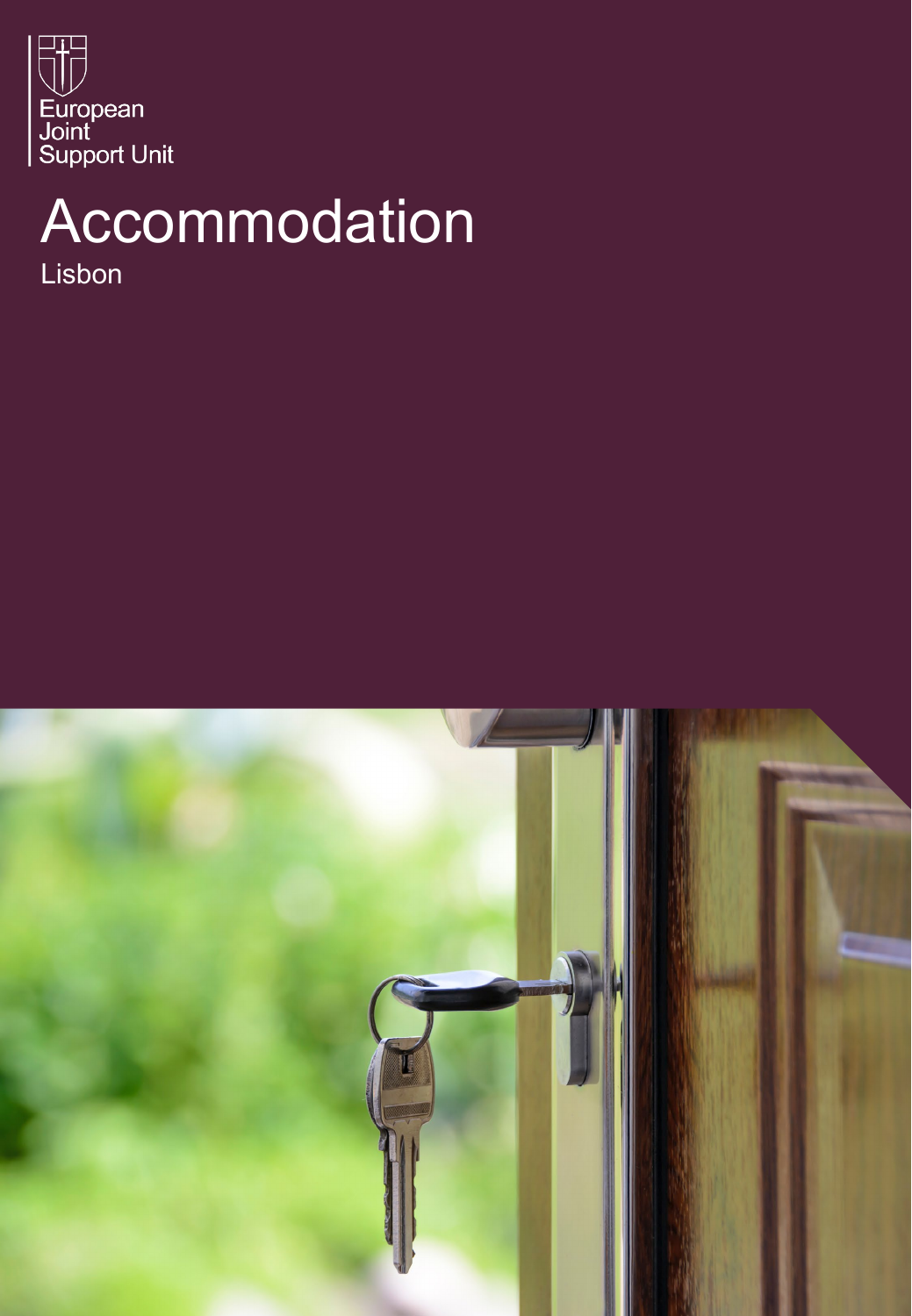

## Accommodation

Lisbon